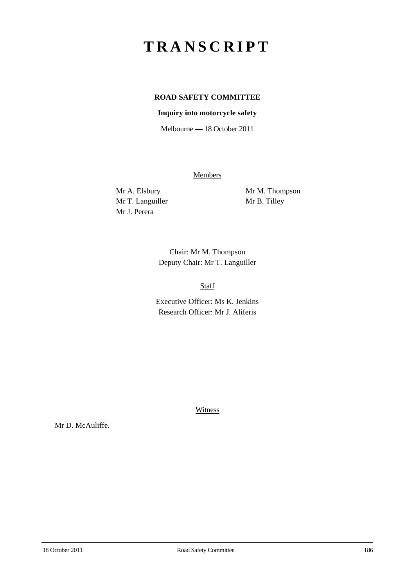## **TRANSCRIPT**

## **ROAD SAFETY COMMITTEE**

## **Inquiry into motorcycle safety**

Melbourne — 18 October 2011

**Members** 

Mr T. Languiller Mr B. Tilley Mr J. Perera

Mr A. Elsbury Mr M. Thompson

Chair: Mr M. Thompson Deputy Chair: Mr T. Languiller

Staff

Executive Officer: Ms K. Jenkins Research Officer: Mr J. Aliferis

**Witness** 

Mr D. McAuliffe.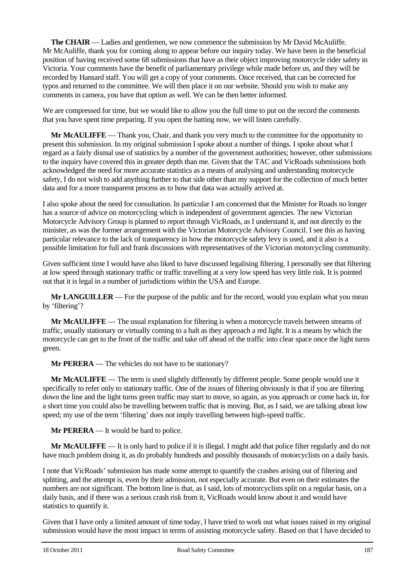**The CHAIR** — Ladies and gentlemen, we now commence the submission by Mr David McAuliffe. Mr McAuliffe, thank you for coming along to appear before our inquiry today. We have been in the beneficial position of having received some 68 submissions that have as their object improving motorcycle rider safety in Victoria. Your comments have the benefit of parliamentary privilege while made before us, and they will be recorded by Hansard staff. You will get a copy of your comments. Once received, that can be corrected for typos and returned to the committee. We will then place it on our website. Should you wish to make any comments in camera, you have that option as well. We can be then better informed.

We are compressed for time, but we would like to allow you the full time to put on the record the comments that you have spent time preparing. If you open the batting now, we will listen carefully.

**Mr McAULIFFE** — Thank you, Chair, and thank you very much to the committee for the opportunity to present this submission. In my original submission I spoke about a number of things. I spoke about what I regard as a fairly dismal use of statistics by a number of the government authorities; however, other submissions to the inquiry have covered this in greater depth than me. Given that the TAC and VicRoads submissions both acknowledged the need for more accurate statistics as a means of analysing and understanding motorcycle safety, I do not wish to add anything further to that side other than my support for the collection of much better data and for a more transparent process as to how that data was actually arrived at.

I also spoke about the need for consultation. In particular I am concerned that the Minister for Roads no longer has a source of advice on motorcycling which is independent of government agencies. The new Victorian Motorcycle Advisory Group is planned to report through VicRoads, as I understand it, and not directly to the minister, as was the former arrangement with the Victorian Motorcycle Advisory Council. I see this as having particular relevance to the lack of transparency in how the motorcycle safety levy is used, and it also is a possible limitation for full and frank discussions with representatives of the Victorian motorcycling community.

Given sufficient time I would have also liked to have discussed legalising filtering. I personally see that filtering at low speed through stationary traffic or traffic travelling at a very low speed has very little risk. It is pointed out that it is legal in a number of jurisdictions within the USA and Europe.

**Mr LANGUILLER** — For the purpose of the public and for the record, would you explain what you mean by 'filtering'?

**Mr McAULIFFE** — The usual explanation for filtering is when a motorcycle travels between streams of traffic, usually stationary or virtually coming to a halt as they approach a red light. It is a means by which the motorcycle can get to the front of the traffic and take off ahead of the traffic into clear space once the light turns green.

**Mr PERERA** — The vehicles do not have to be stationary?

**Mr McAULIFFE** — The term is used slightly differently by different people. Some people would use it specifically to refer only to stationary traffic. One of the issues of filtering obviously is that if you are filtering down the line and the light turns green traffic may start to move, so again, as you approach or come back in, for a short time you could also be travelling between traffic that is moving. But, as I said, we are talking about low speed; my use of the term 'filtering' does not imply travelling between high-speed traffic.

**Mr PERERA** — It would be hard to police.

**Mr McAULIFFE** — It is only hard to police if it is illegal. I might add that police filter regularly and do not have much problem doing it, as do probably hundreds and possibly thousands of motorcyclists on a daily basis.

I note that VicRoads' submission has made some attempt to quantify the crashes arising out of filtering and splitting, and the attempt is, even by their admission, not especially accurate. But even on their estimates the numbers are not significant. The bottom line is that, as I said, lots of motorcyclists split on a regular basis, on a daily basis, and if there was a serious crash risk from it, VicRoads would know about it and would have statistics to quantify it.

Given that I have only a limited amount of time today, I have tried to work out what issues raised in my original submission would have the most impact in terms of assisting motorcycle safety. Based on that I have decided to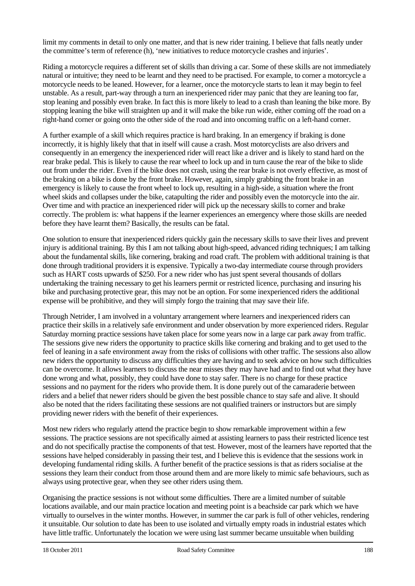limit my comments in detail to only one matter, and that is new rider training. I believe that falls neatly under the committee's term of reference (h), 'new initiatives to reduce motorcycle crashes and injuries'.

Riding a motorcycle requires a different set of skills than driving a car. Some of these skills are not immediately natural or intuitive; they need to be learnt and they need to be practised. For example, to corner a motorcycle a motorcycle needs to be leaned. However, for a learner, once the motorcycle starts to lean it may begin to feel unstable. As a result, part-way through a turn an inexperienced rider may panic that they are leaning too far, stop leaning and possibly even brake. In fact this is more likely to lead to a crash than leaning the bike more. By stopping leaning the bike will straighten up and it will make the bike run wide, either coming off the road on a right-hand corner or going onto the other side of the road and into oncoming traffic on a left-hand corner.

A further example of a skill which requires practice is hard braking. In an emergency if braking is done incorrectly, it is highly likely that that in itself will cause a crash. Most motorcyclists are also drivers and consequently in an emergency the inexperienced rider will react like a driver and is likely to stand hard on the rear brake pedal. This is likely to cause the rear wheel to lock up and in turn cause the rear of the bike to slide out from under the rider. Even if the bike does not crash, using the rear brake is not overly effective, as most of the braking on a bike is done by the front brake. However, again, simply grabbing the front brake in an emergency is likely to cause the front wheel to lock up, resulting in a high-side, a situation where the front wheel skids and collapses under the bike, catapulting the rider and possibly even the motorcycle into the air. Over time and with practice an inexperienced rider will pick up the necessary skills to corner and brake correctly. The problem is: what happens if the learner experiences an emergency where those skills are needed before they have learnt them? Basically, the results can be fatal.

One solution to ensure that inexperienced riders quickly gain the necessary skills to save their lives and prevent injury is additional training. By this I am not talking about high-speed, advanced riding techniques; I am talking about the fundamental skills, like cornering, braking and road craft. The problem with additional training is that done through traditional providers it is expensive. Typically a two-day intermediate course through providers such as HART costs upwards of \$250. For a new rider who has just spent several thousands of dollars undertaking the training necessary to get his learners permit or restricted licence, purchasing and insuring his bike and purchasing protective gear, this may not be an option. For some inexperienced riders the additional expense will be prohibitive, and they will simply forgo the training that may save their life.

Through Netrider, I am involved in a voluntary arrangement where learners and inexperienced riders can practice their skills in a relatively safe environment and under observation by more experienced riders. Regular Saturday morning practice sessions have taken place for some years now in a large car park away from traffic. The sessions give new riders the opportunity to practice skills like cornering and braking and to get used to the feel of leaning in a safe environment away from the risks of collisions with other traffic. The sessions also allow new riders the opportunity to discuss any difficulties they are having and to seek advice on how such difficulties can be overcome. It allows learners to discuss the near misses they may have had and to find out what they have done wrong and what, possibly, they could have done to stay safer. There is no charge for these practice sessions and no payment for the riders who provide them. It is done purely out of the camaraderie between riders and a belief that newer riders should be given the best possible chance to stay safe and alive. It should also be noted that the riders facilitating these sessions are not qualified trainers or instructors but are simply providing newer riders with the benefit of their experiences.

Most new riders who regularly attend the practice begin to show remarkable improvement within a few sessions. The practice sessions are not specifically aimed at assisting learners to pass their restricted licence test and do not specifically practise the components of that test. However, most of the learners have reported that the sessions have helped considerably in passing their test, and I believe this is evidence that the sessions work in developing fundamental riding skills. A further benefit of the practice sessions is that as riders socialise at the sessions they learn their conduct from those around them and are more likely to mimic safe behaviours, such as always using protective gear, when they see other riders using them.

Organising the practice sessions is not without some difficulties. There are a limited number of suitable locations available, and our main practice location and meeting point is a beachside car park which we have virtually to ourselves in the winter months. However, in summer the car park is full of other vehicles, rendering it unsuitable. Our solution to date has been to use isolated and virtually empty roads in industrial estates which have little traffic. Unfortunately the location we were using last summer became unsuitable when building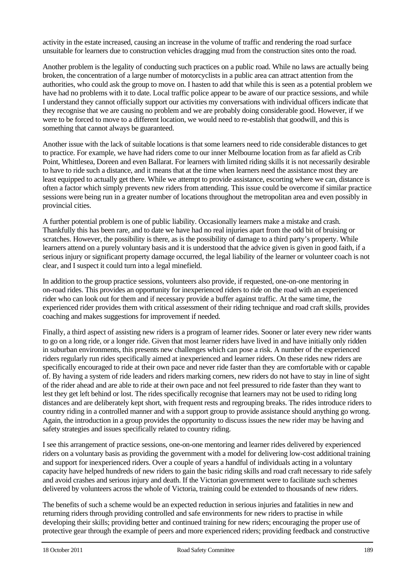activity in the estate increased, causing an increase in the volume of traffic and rendering the road surface unsuitable for learners due to construction vehicles dragging mud from the construction sites onto the road.

Another problem is the legality of conducting such practices on a public road. While no laws are actually being broken, the concentration of a large number of motorcyclists in a public area can attract attention from the authorities, who could ask the group to move on. I hasten to add that while this is seen as a potential problem we have had no problems with it to date. Local traffic police appear to be aware of our practice sessions, and while I understand they cannot officially support our activities my conversations with individual officers indicate that they recognise that we are causing no problem and we are probably doing considerable good. However, if we were to be forced to move to a different location, we would need to re-establish that goodwill, and this is something that cannot always be guaranteed.

Another issue with the lack of suitable locations is that some learners need to ride considerable distances to get to practice. For example, we have had riders come to our inner Melbourne location from as far afield as Crib Point, Whittlesea, Doreen and even Ballarat. For learners with limited riding skills it is not necessarily desirable to have to ride such a distance, and it means that at the time when learners need the assistance most they are least equipped to actually get there. While we attempt to provide assistance, escorting where we can, distance is often a factor which simply prevents new riders from attending. This issue could be overcome if similar practice sessions were being run in a greater number of locations throughout the metropolitan area and even possibly in provincial cities.

A further potential problem is one of public liability. Occasionally learners make a mistake and crash. Thankfully this has been rare, and to date we have had no real injuries apart from the odd bit of bruising or scratches. However, the possibility is there, as is the possibility of damage to a third party's property. While learners attend on a purely voluntary basis and it is understood that the advice given is given in good faith, if a serious injury or significant property damage occurred, the legal liability of the learner or volunteer coach is not clear, and I suspect it could turn into a legal minefield.

In addition to the group practice sessions, volunteers also provide, if requested, one-on-one mentoring in on-road rides. This provides an opportunity for inexperienced riders to ride on the road with an experienced rider who can look out for them and if necessary provide a buffer against traffic. At the same time, the experienced rider provides them with critical assessment of their riding technique and road craft skills, provides coaching and makes suggestions for improvement if needed.

Finally, a third aspect of assisting new riders is a program of learner rides. Sooner or later every new rider wants to go on a long ride, or a longer ride. Given that most learner riders have lived in and have initially only ridden in suburban environments, this presents new challenges which can pose a risk. A number of the experienced riders regularly run rides specifically aimed at inexperienced and learner riders. On these rides new riders are specifically encouraged to ride at their own pace and never ride faster than they are comfortable with or capable of. By having a system of ride leaders and riders marking corners, new riders do not have to stay in line of sight of the rider ahead and are able to ride at their own pace and not feel pressured to ride faster than they want to lest they get left behind or lost. The rides specifically recognise that learners may not be used to riding long distances and are deliberately kept short, with frequent rests and regrouping breaks. The rides introduce riders to country riding in a controlled manner and with a support group to provide assistance should anything go wrong. Again, the introduction in a group provides the opportunity to discuss issues the new rider may be having and safety strategies and issues specifically related to country riding.

I see this arrangement of practice sessions, one-on-one mentoring and learner rides delivered by experienced riders on a voluntary basis as providing the government with a model for delivering low-cost additional training and support for inexperienced riders. Over a couple of years a handful of individuals acting in a voluntary capacity have helped hundreds of new riders to gain the basic riding skills and road craft necessary to ride safely and avoid crashes and serious injury and death. If the Victorian government were to facilitate such schemes delivered by volunteers across the whole of Victoria, training could be extended to thousands of new riders.

The benefits of such a scheme would be an expected reduction in serious injuries and fatalities in new and returning riders through providing controlled and safe environments for new riders to practise in while developing their skills; providing better and continued training for new riders; encouraging the proper use of protective gear through the example of peers and more experienced riders; providing feedback and constructive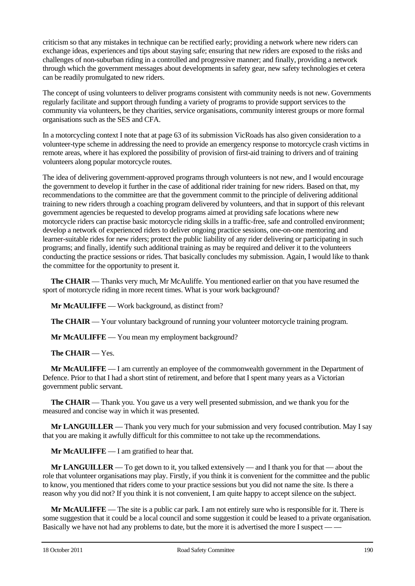criticism so that any mistakes in technique can be rectified early; providing a network where new riders can exchange ideas, experiences and tips about staying safe; ensuring that new riders are exposed to the risks and challenges of non-suburban riding in a controlled and progressive manner; and finally, providing a network through which the government messages about developments in safety gear, new safety technologies et cetera can be readily promulgated to new riders.

The concept of using volunteers to deliver programs consistent with community needs is not new. Governments regularly facilitate and support through funding a variety of programs to provide support services to the community via volunteers, be they charities, service organisations, community interest groups or more formal organisations such as the SES and CFA.

In a motorcycling context I note that at page 63 of its submission VicRoads has also given consideration to a volunteer-type scheme in addressing the need to provide an emergency response to motorcycle crash victims in remote areas, where it has explored the possibility of provision of first-aid training to drivers and of training volunteers along popular motorcycle routes.

The idea of delivering government-approved programs through volunteers is not new, and I would encourage the government to develop it further in the case of additional rider training for new riders. Based on that, my recommendations to the committee are that the government commit to the principle of delivering additional training to new riders through a coaching program delivered by volunteers, and that in support of this relevant government agencies be requested to develop programs aimed at providing safe locations where new motorcycle riders can practise basic motorcycle riding skills in a traffic-free, safe and controlled environment; develop a network of experienced riders to deliver ongoing practice sessions, one-on-one mentoring and learner-suitable rides for new riders; protect the public liability of any rider delivering or participating in such programs; and finally, identify such additional training as may be required and deliver it to the volunteers conducting the practice sessions or rides. That basically concludes my submission. Again, I would like to thank the committee for the opportunity to present it.

**The CHAIR** — Thanks very much, Mr McAuliffe. You mentioned earlier on that you have resumed the sport of motorcycle riding in more recent times. What is your work background?

**Mr McAULIFFE** — Work background, as distinct from?

**The CHAIR** — Your voluntary background of running your volunteer motorcycle training program.

**Mr McAULIFFE** — You mean my employment background?

**The CHAIR** — Yes.

**Mr McAULIFFE** — I am currently an employee of the commonwealth government in the Department of Defence. Prior to that I had a short stint of retirement, and before that I spent many years as a Victorian government public servant.

**The CHAIR** — Thank you. You gave us a very well presented submission, and we thank you for the measured and concise way in which it was presented.

**Mr LANGUILLER** — Thank you very much for your submission and very focused contribution. May I say that you are making it awfully difficult for this committee to not take up the recommendations.

**Mr McAULIFFE** — I am gratified to hear that.

**Mr LANGUILLER** — To get down to it, you talked extensively — and I thank you for that — about the role that volunteer organisations may play. Firstly, if you think it is convenient for the committee and the public to know, you mentioned that riders come to your practice sessions but you did not name the site. Is there a reason why you did not? If you think it is not convenient, I am quite happy to accept silence on the subject.

**Mr McAULIFFE** — The site is a public car park. I am not entirely sure who is responsible for it. There is some suggestion that it could be a local council and some suggestion it could be leased to a private organisation. Basically we have not had any problems to date, but the more it is advertised the more I suspect —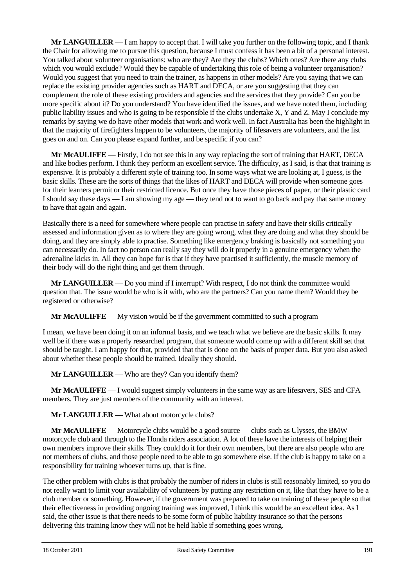**Mr LANGUILLER** — I am happy to accept that. I will take you further on the following topic, and I thank the Chair for allowing me to pursue this question, because I must confess it has been a bit of a personal interest. You talked about volunteer organisations: who are they? Are they the clubs? Which ones? Are there any clubs which you would exclude? Would they be capable of undertaking this role of being a volunteer organisation? Would you suggest that you need to train the trainer, as happens in other models? Are you saying that we can replace the existing provider agencies such as HART and DECA, or are you suggesting that they can complement the role of these existing providers and agencies and the services that they provide? Can you be more specific about it? Do you understand? You have identified the issues, and we have noted them, including public liability issues and who is going to be responsible if the clubs undertake X, Y and Z. May I conclude my remarks by saying we do have other models that work and work well. In fact Australia has been the highlight in that the majority of firefighters happen to be volunteers, the majority of lifesavers are volunteers, and the list goes on and on. Can you please expand further, and be specific if you can?

**Mr McAULIFFE** — Firstly, I do not see this in any way replacing the sort of training that HART, DECA and like bodies perform. I think they perform an excellent service. The difficulty, as I said, is that that training is expensive. It is probably a different style of training too. In some ways what we are looking at, I guess, is the basic skills. These are the sorts of things that the likes of HART and DECA will provide when someone goes for their learners permit or their restricted licence. But once they have those pieces of paper, or their plastic card I should say these days — I am showing my age — they tend not to want to go back and pay that same money to have that again and again.

Basically there is a need for somewhere where people can practise in safety and have their skills critically assessed and information given as to where they are going wrong, what they are doing and what they should be doing, and they are simply able to practise. Something like emergency braking is basically not something you can necessarily do. In fact no person can really say they will do it properly in a genuine emergency when the adrenaline kicks in. All they can hope for is that if they have practised it sufficiently, the muscle memory of their body will do the right thing and get them through.

**Mr LANGUILLER** — Do you mind if I interrupt? With respect, I do not think the committee would question that. The issue would be who is it with, who are the partners? Can you name them? Would they be registered or otherwise?

**Mr McAULIFFE** — My vision would be if the government committed to such a program — —

I mean, we have been doing it on an informal basis, and we teach what we believe are the basic skills. It may well be if there was a properly researched program, that someone would come up with a different skill set that should be taught. I am happy for that, provided that that is done on the basis of proper data. But you also asked about whether these people should be trained. Ideally they should.

**Mr LANGUILLER** — Who are they? Can you identify them?

**Mr McAULIFFE** — I would suggest simply volunteers in the same way as are lifesavers, SES and CFA members. They are just members of the community with an interest.

**Mr LANGUILLER** — What about motorcycle clubs?

**Mr McAULIFFE** — Motorcycle clubs would be a good source — clubs such as Ulysses, the BMW motorcycle club and through to the Honda riders association. A lot of these have the interests of helping their own members improve their skills. They could do it for their own members, but there are also people who are not members of clubs, and those people need to be able to go somewhere else. If the club is happy to take on a responsibility for training whoever turns up, that is fine.

The other problem with clubs is that probably the number of riders in clubs is still reasonably limited, so you do not really want to limit your availability of volunteers by putting any restriction on it, like that they have to be a club member or something. However, if the government was prepared to take on training of these people so that their effectiveness in providing ongoing training was improved, I think this would be an excellent idea. As I said, the other issue is that there needs to be some form of public liability insurance so that the persons delivering this training know they will not be held liable if something goes wrong.